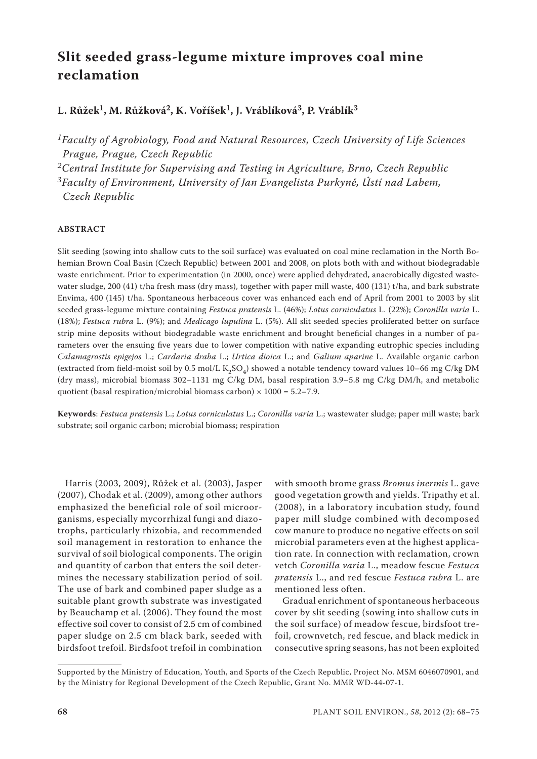# **Slit seeded grass-legume mixture improves coal mine reclamation**

## **L. Růžek1, M. Růžková2, K. Voříšek1, J. Vráblíková3, P. Vráblík3**

*1Faculty of Agrobiology, Food and Natural Resources, Czech University of Life Sciences Prague, Prague, Czech Republic*

*2Central Institute for Supervising and Testing in Agriculture, Brno, Czech Republic 3Faculty of Environment, University of Jan Evangelista Purkyně, Ústí nad Labem, Czech Republic*

## **ABSTRACT**

Slit seeding (sowing into shallow cuts to the soil surface) was evaluated on coal mine reclamation in the North Bohemian Brown Coal Basin (Czech Republic) between 2001 and 2008, on plots both with and without biodegradable waste enrichment. Prior to experimentation (in 2000, once) were applied dehydrated, anaerobically digested wastewater sludge, 200 (41) t/ha fresh mass (dry mass), together with paper mill waste, 400 (131) t/ha, and bark substrate Envima, 400 (145) t/ha. Spontaneous herbaceous cover was enhanced each end of April from 2001 to 2003 by slit seeded grass-legume mixture containing *Festuca pratensis* L. (46%); *Lotus corniculatus* L. (22%); *Coronilla varia* L. (18%); *Festuca rubra* L. (9%); and *Medicago lupulina* L. (5%). All slit seeded species proliferated better on surface strip mine deposits without biodegradable waste enrichment and brought beneficial changes in a number of parameters over the ensuing five years due to lower competition with native expanding eutrophic species including *Calamagrostis epigejos* L.; *Cardaria draba* L.; *Urtica dioica* L.; and *Galium aparine* L. Available organic carbon (extracted from field-moist soil by 0.5 mol/L  $K_2SO_4$ ) showed a notable tendency toward values 10–66 mg C/kg DM (dry mass), microbial biomass 302–1131 mg C/kg DM, basal respiration 3.9–5.8 mg C/kg DM/h, and metabolic quotient (basal respiration/microbial biomass carbon)  $\times$  1000 = 5.2–7.9.

**Keywords**: *Festuca pratensis* L.; *Lotus corniculatus* L.; *Coronilla varia* L.; wastewater sludge; paper mill waste; bark substrate; soil organic carbon; microbial biomass; respiration

Harris (2003, 2009), Růžek et al. (2003), Jasper (2007), Chodak et al. (2009), among other authors emphasized the beneficial role of soil microorganisms, especially mycorrhizal fungi and diazotrophs, particularly rhizobia, and recommended soil management in restoration to enhance the survival of soil biological components. The origin and quantity of carbon that enters the soil determines the necessary stabilization period of soil. The use of bark and combined paper sludge as a suitable plant growth substrate was investigated by Beauchamp et al. (2006). They found the most effective soil cover to consist of 2.5 cm of combined paper sludge on 2.5 cm black bark, seeded with birdsfoot trefoil. Birdsfoot trefoil in combination

with smooth brome grass *Bromus inermis* L. gave good vegetation growth and yields. Tripathy et al. (2008), in a laboratory incubation study, found paper mill sludge combined with decomposed cow manure to produce no negative effects on soil microbial parameters even at the highest application rate. In connection with reclamation, crown vetch *Coronilla varia* L., meadow fescue *Festuca pratensis* L., and red fescue *Festuca rubra* L. are mentioned less often.

Gradual enrichment of spontaneous herbaceous cover by slit seeding (sowing into shallow cuts in the soil surface) of meadow fescue, birdsfoot trefoil, crownvetch, red fescue, and black medick in consecutive spring seasons, has not been exploited

Supported by the Ministry of Education, Youth, and Sports of the Czech Republic, Project No. MSM 6046070901, and by the Ministry for Regional Development of the Czech Republic, Grant No. MMR WD-44-07-1.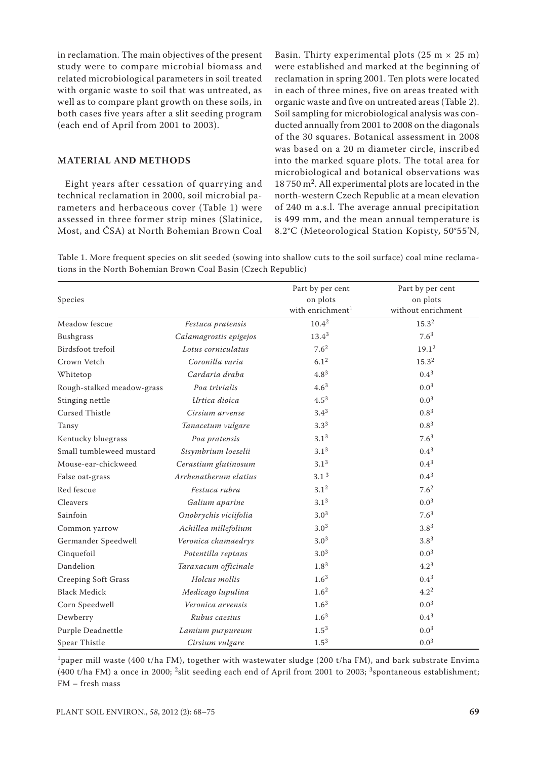in reclamation. The main objectives of the present study were to compare microbial biomass and related microbiological parameters in soil treated with organic waste to soil that was untreated, as well as to compare plant growth on these soils, in both cases five years after a slit seeding program (each end of April from 2001 to 2003).

## **MATERIAL AND METHODS**

Eight years after cessation of quarrying and technical reclamation in 2000, soil microbial parameters and herbaceous cover (Table 1) were assessed in three former strip mines (Slatinice, Most, and ČSA) at North Bohemian Brown Coal

Basin. Thirty experimental plots  $(25 \text{ m} \times 25 \text{ m})$ were established and marked at the beginning of reclamation in spring 2001. Ten plots were located in each of three mines, five on areas treated with organic waste and five on untreated areas (Table 2). Soil sampling for microbiological analysis was conducted annually from 2001 to 2008 on the diagonals of the 30 squares. Botanical assessment in 2008 was based on a 20 m diameter circle, inscribed into the marked square plots. The total area for microbiological and botanical observations was 18 750 m2. All experimental plots are located in the north-western Czech Republic at a mean elevation of 240 m a.s.l. The average annual precipitation is 499 mm, and the mean annual temperature is 8.2°C (Meteorological Station Kopisty, 50°55'N,

Table 1. More frequent species on slit seeded (sowing into shallow cuts to the soil surface) coal mine reclamations in the North Bohemian Brown Coal Basin (Czech Republic)

| Species                    |                        | Part by per cent<br>on plots | Part by per cent<br>on plots |
|----------------------------|------------------------|------------------------------|------------------------------|
|                            |                        | with enrichment <sup>1</sup> | without enrichment           |
| Meadow fescue              | Festuca pratensis      | $10.4^{2}$                   | $15.3^{2}$                   |
| <b>Bushgrass</b>           | Calamagrostis epigejos | $13.4^3$                     | $7.6^3$                      |
| Birdsfoot trefoil          | Lotus corniculatus     | 7.6 <sup>2</sup>             | 19.1 <sup>2</sup>            |
| Crown Vetch                | Coronilla varia        | 6.1 <sup>2</sup>             | 15.3 <sup>2</sup>            |
| Whitetop                   | Cardaria draha         | $4.8^{3}$                    | $0.4^{3}$                    |
| Rough-stalked meadow-grass | Poa trivialis          | $4.6^{3}$                    | $0.0^{3}$                    |
| Stinging nettle            | Urtica dioica          | $4.5^{3}$                    | $0.0^{3}$                    |
| <b>Cursed Thistle</b>      | Cirsium arvense        | $3.4^{3}$                    | $0.8^{3}$                    |
| Tansy                      | Tanacetum vulgare      | $3.3^{3}$                    | $0.8^{3}$                    |
| Kentucky bluegrass         | Poa pratensis          | $3.1^{3}$                    | 7.6 <sup>3</sup>             |
| Small tumbleweed mustard   | Sisymbrium loeselii    | $3.1^{3}$                    | $0.4^{3}$                    |
| Mouse-ear-chickweed        | Cerastium glutinosum   | $3.1^{3}$                    | $0.4^{3}$                    |
| False oat-grass            | Arrhenatherum elatius  | 3.1 <sup>3</sup>             | $0.4^{3}$                    |
| Red fescue                 | Festuca rubra          | $3.1^{2}$                    | 7.6 <sup>2</sup>             |
| Cleavers                   | Galium aparine         | $3.1^{3}$                    | $0.0^{3}$                    |
| Sainfoin                   | Onobrychis viciifolia  | $3.0^{3}$                    | 7.6 <sup>3</sup>             |
| Common yarrow              | Achillea millefolium   | $3.0^{3}$                    | $3.8^{3}$                    |
| Germander Speedwell        | Veronica chamaedrys    | $3.0^{3}$                    | $3.8^{3}$                    |
| Cinquefoil                 | Potentilla reptans     | $3.0^{3}$                    | $0.0^{3}$                    |
| Dandelion                  | Taraxacum officinale   | $1.8^{3}$                    | $4.2^3$                      |
| Creeping Soft Grass        | Holcus mollis          | $1.6^{3}$                    | $0.4^{3}$                    |
| <b>Black Medick</b>        | Medicago lupulina      | 1.6 <sup>2</sup>             | $4.2^2$                      |
| Corn Speedwell             | Veronica arvensis      | $1.6^{3}$                    | $0.0^{3}$                    |
| Dewberry                   | Rubus caesius          | $1.6^{3}$                    | $0.4^{3}$                    |
| Purple Deadnettle          | Lamium purpureum       | $1.5^{3}$                    | $0.0^{3}$                    |
| Spear Thistle              | Cirsium vulgare        | $1.5^{3}$                    | $0.0^{3}$                    |

<sup>1</sup>paper mill waste (400 t/ha FM), together with wastewater sludge (200 t/ha FM), and bark substrate Envima (400 t/ha FM) a once in 2000; 2slit seeding each end of April from 2001 to 2003; 3spontaneous establishment; FM – fresh mass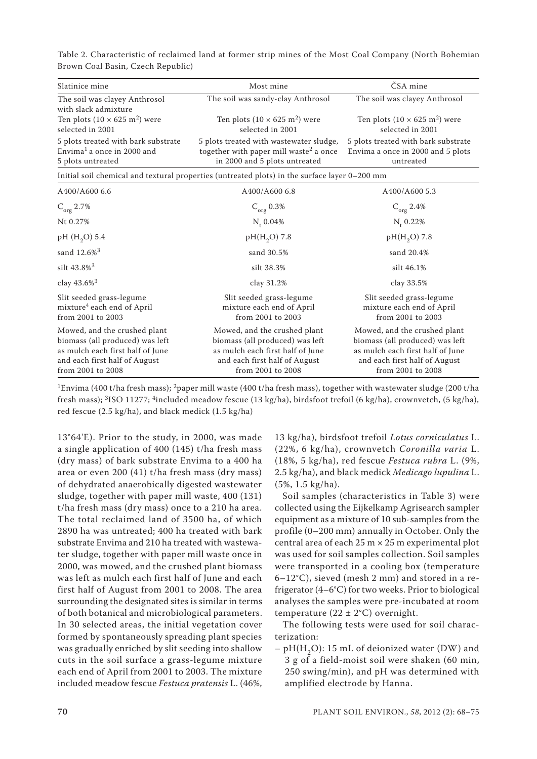Table 2. Characteristic of reclaimed land at former strip mines of the Most Coal Company (North Bohemian Brown Coal Basin, Czech Republic)

| Slatinice mine                                                                                                                                            | Most mine                                                                                                                                                 | ČSA mine                                                                                                                                                  |  |  |  |  |
|-----------------------------------------------------------------------------------------------------------------------------------------------------------|-----------------------------------------------------------------------------------------------------------------------------------------------------------|-----------------------------------------------------------------------------------------------------------------------------------------------------------|--|--|--|--|
| The soil was clayey Anthrosol<br>with slack admixture                                                                                                     | The soil was sandy-clay Anthrosol                                                                                                                         | The soil was clayey Anthrosol                                                                                                                             |  |  |  |  |
| Ten plots $(10 \times 625 \text{ m}^2)$ were<br>selected in 2001                                                                                          | Ten plots $(10 \times 625 \text{ m}^2)$ were<br>selected in 2001                                                                                          | Ten plots $(10 \times 625 \text{ m}^2)$ were<br>selected in 2001                                                                                          |  |  |  |  |
| 5 plots treated with bark substrate<br>Envima <sup>1</sup> a once in 2000 and<br>5 plots untreated                                                        | 5 plots treated with wastewater sludge,<br>together with paper mill waste <sup>2</sup> a once<br>in 2000 and 5 plots untreated                            | 5 plots treated with bark substrate<br>Envima a once in 2000 and 5 plots<br>untreated                                                                     |  |  |  |  |
| Initial soil chemical and textural properties (untreated plots) in the surface layer 0–200 mm                                                             |                                                                                                                                                           |                                                                                                                                                           |  |  |  |  |
| A400/A600 6.6                                                                                                                                             | A400/A600 6.8                                                                                                                                             | A400/A600 5.3                                                                                                                                             |  |  |  |  |
| $C_{org}$ 2.7%                                                                                                                                            | $C_{org}$ 0.3%                                                                                                                                            | $C_{org}$ 2.4%                                                                                                                                            |  |  |  |  |
| Nt 0.27%                                                                                                                                                  | $N_{t}$ 0.04%                                                                                                                                             | $N_{t}$ 0.22%                                                                                                                                             |  |  |  |  |
| pH $(H_2O)$ 5.4                                                                                                                                           | $pH(H_2O)$ 7.8                                                                                                                                            | $pH(H_2O)$ 7.8                                                                                                                                            |  |  |  |  |
| sand 12.6% <sup>3</sup>                                                                                                                                   | sand 30.5%                                                                                                                                                | sand 20.4%                                                                                                                                                |  |  |  |  |
| silt $43.8\%$ <sup>3</sup>                                                                                                                                | silt 38.3%                                                                                                                                                | silt 46.1%                                                                                                                                                |  |  |  |  |
| clay $43.6\%$ <sup>3</sup>                                                                                                                                | clay 31.2%                                                                                                                                                | clay 33.5%                                                                                                                                                |  |  |  |  |
| Slit seeded grass-legume<br>mixture <sup>4</sup> each end of April<br>from 2001 to 2003                                                                   | Slit seeded grass-legume<br>mixture each end of April<br>from 2001 to 2003                                                                                | Slit seeded grass-legume<br>mixture each end of April<br>from 2001 to 2003                                                                                |  |  |  |  |
| Mowed, and the crushed plant<br>biomass (all produced) was left<br>as mulch each first half of June<br>and each first half of August<br>from 2001 to 2008 | Mowed, and the crushed plant<br>biomass (all produced) was left<br>as mulch each first half of June<br>and each first half of August<br>from 2001 to 2008 | Mowed, and the crushed plant<br>biomass (all produced) was left<br>as mulch each first half of June<br>and each first half of August<br>from 2001 to 2008 |  |  |  |  |

<sup>1</sup>Envima (400 t/ha fresh mass); <sup>2</sup>paper mill waste (400 t/ha fresh mass), together with wastewater sludge (200 t/ha fresh mass); <sup>3</sup>ISO 11277; <sup>4</sup>included meadow fescue (13 kg/ha), birdsfoot trefoil (6 kg/ha), crownvetch, (5 kg/ha), red fescue (2.5 kg/ha), and black medick (1.5 kg/ha)

13°64'E). Prior to the study, in 2000, was made a single application of 400 (145) t/ha fresh mass (dry mass) of bark substrate Envima to a 400 ha area or even 200 (41) t/ha fresh mass (dry mass) of dehydrated anaerobically digested wastewater sludge, together with paper mill waste, 400 (131) t/ha fresh mass (dry mass) once to a 210 ha area. The total reclaimed land of 3500 ha, of which 2890 ha was untreated; 400 ha treated with bark substrate Envima and 210 ha treated with wastewater sludge, together with paper mill waste once in 2000, was mowed, and the crushed plant biomass was left as mulch each first half of June and each first half of August from 2001 to 2008. The area surrounding the designated sites is similar in terms of both botanical and microbiological parameters. In 30 selected areas, the initial vegetation cover formed by spontaneously spreading plant species was gradually enriched by slit seeding into shallow cuts in the soil surface a grass-legume mixture each end of April from 2001 to 2003. The mixture included meadow fescue *Festuca pratensis* L. (46%,

13 kg/ha), birdsfoot trefoil *Lotus corniculatus* L. (22%, 6 kg/ha), crownvetch *Coronilla varia* L. (18%, 5 kg/ha), red fescue *Festuca rubra* L. (9%, 2.5 kg/ha), and black medick *Medicago lupulina* L. (5%, 1.5 kg/ha).

Soil samples (characteristics in Table 3) were collected using the Eijkelkamp Agrisearch sampler equipment as a mixture of 10 sub-samples from the profile (0–200 mm) annually in October. Only the central area of each  $25 \text{ m} \times 25 \text{ m}$  experimental plot was used for soil samples collection. Soil samples were transported in a cooling box (temperature 6–12°C), sieved (mesh 2 mm) and stored in a refrigerator (4–6°C) for two weeks. Prior to biological analyses the samples were pre-incubated at room temperature  $(22 \pm 2^{\circ}C)$  overnight.

The following tests were used for soil characterization:

 $– pH(H<sub>2</sub>O): 15 mL of deionized water (DW) and$ 3 g of a field-moist soil were shaken (60 min, 250 swing/min), and pH was determined with amplified electrode by Hanna.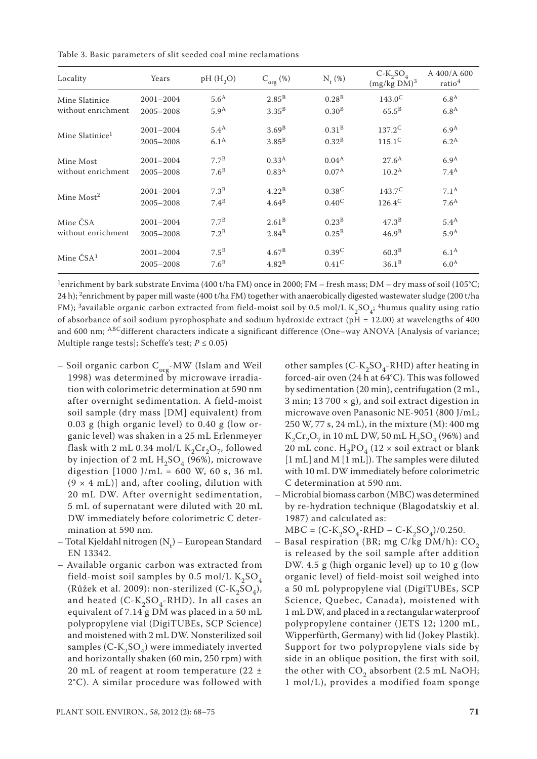Table 3. Basic parameters of slit seeded coal mine reclamations

| Locality                    | Years         | pH(H, O)         | $C_{org}(\%)$     | $N_{t}(\%)$       | $C-K_2SO_4$<br>$(mg/kg DM)^3$ | A 400/A 600<br>ratio <sup>4</sup> |
|-----------------------------|---------------|------------------|-------------------|-------------------|-------------------------------|-----------------------------------|
| Mine Slatinice              | $2001 - 2004$ | 5.6 <sup>A</sup> | $2.85^B$          | 0.28 <sup>B</sup> | $143.0^{\circ}$               | 6.8 <sup>A</sup>                  |
| without enrichment          | 2005-2008     | 5.9 <sup>A</sup> | 3.35 <sup>B</sup> | 0.30 <sup>B</sup> | $65.5^{\rm B}$                | 6.8 <sup>A</sup>                  |
| Mine Slatinice <sup>1</sup> | $2001 - 2004$ | 5.4 <sup>A</sup> | 3.69 <sup>B</sup> | $0.31^{B}$        | $137.2^C$                     | 6.9 <sup>A</sup>                  |
|                             | 2005-2008     | 6.1 <sup>A</sup> | $3.85^{\rm B}$    | 0.32 <sup>B</sup> | $115.1^C$                     | $6.2^{\text{A}}$                  |
| Mine Most                   | $2001 - 2004$ | $7.7^{\rm B}$    | 0.33 <sup>A</sup> | $0.04^{A}$        | $27.6^{\rm A}$                | 6.9 <sup>A</sup>                  |
| without enrichment          | $2005 - 2008$ | 7.6 <sup>B</sup> | 0.83 <sup>A</sup> | $0.07^{A}$        | 10.2 <sup>A</sup>             | $7.4^{\rm A}$                     |
| Mine $Most2$                | $2001 - 2004$ | 7.3 <sup>B</sup> | $4.22^{B}$        | $0.38^{C}$        | $143.7^{\circ}$               | 7.1 <sup>A</sup>                  |
|                             | 2005-2008     | $7.4^B$          | $4.64^B$          | $0.40^{\circ}$    | $126.4^C$                     | 7.6 <sup>A</sup>                  |
| Mine ČSA                    | $2001 - 2004$ | $7.7^{\text{B}}$ | 2.61 <sup>B</sup> | 0.23 <sup>B</sup> | 47.3 <sup>B</sup>             | 5.4 <sup>A</sup>                  |
| without enrichment          | $2005 - 2008$ | $7.2^{\rm B}$    | $2.84^B$          | $0.25^{\rm B}$    | 46.9 <sup>B</sup>             | 5.9 <sup>A</sup>                  |
| Mine $\check{C}SA^1$        | $2001 - 2004$ | $7.5^{\rm B}$    | $4.67^{\rm B}$    | 0.39 <sup>C</sup> | 60.3 <sup>B</sup>             | 6.1 <sup>A</sup>                  |
|                             | 2005-2008     | 7.6 <sup>B</sup> | 4.82 <sup>B</sup> | $0.41^{\circ}$    | $36.1^{B}$                    | 6.0 <sup>A</sup>                  |

<sup>1</sup>enrichment by bark substrate Envima (400 t/ha FM) once in 2000; FM – fresh mass; DM – dry mass of soil (105°C; 24 h); <sup>2</sup>enrichment by paper mill waste (400 t/ha FM) together with anaerobically digested wastewater sludge (200 t/ha FM); <sup>3</sup>available organic carbon extracted from field-moist soil by 0.5 mol/L K<sub>2</sub>SO<sub>4</sub>; <sup>4</sup>humus quality using ratio of absorbance of soil sodium pyrophosphate and sodium hydroxide extract (pH = 12.00) at wavelengths of 400 and 600 nm; <sup>ABC</sup>different characters indicate a significant difference (One–way ANOVA [Analysis of variance; Multiple range tests]; Scheffe's test;  $P \le 0.05$ )

- Soil organic carbon  $C_{org}$ -MW (Islam and Weil 1998) was determined by microwave irradiation with colorimetric determination at 590 nm after overnight sedimentation. A field-moist soil sample (dry mass [DM] equivalent) from 0.03 g (high organic level) to 0.40 g (low organic level) was shaken in a 25 mL Erlenmeyer flask with 2 mL 0.34 mol/L  $K_2Cr_2O_7$ , followed by injection of 2 mL  $H_2SO_4$  (96%), microwave digestion  $[1000]$   $J/mL = 600$  W, 60 s, 36 mL  $(9 \times 4 \text{ mL})$ ] and, after cooling, dilution with 20 mL DW. After overnight sedimentation, 5 mL of supernatant were diluted with 20 mL DW immediately before colorimetric C determination at 590 nm.
- Total Kjeldahl nitrogen (N<sub>t</sub>) European Standard<br>———————————————————— EN 13342.
- Available organic carbon was extracted from field-moist soil samples by 0.5 mol/L  $K_2SO_4$ (Růžek et al. 2009): non-sterilized (C-K<sub>2</sub>SO<sub>4</sub>), and heated  $(C-K_2SO_4$ -RHD). In all cases an equivalent of 7.14 g DM was placed in a 50 mL polypropylene vial (DigiTUBEs, SCP Science) and moistened with 2 mL DW. Nonsterilized soil samples  $(C-K_2SO_4)$  were immediately inverted and horizontally shaken (60 min, 250 rpm) with 20 mL of reagent at room temperature (22 ± 2°C). A similar procedure was followed with

other samples (C-K<sub>2</sub>SO<sub>4</sub>-RHD) after heating in forced-air oven (24 h at 64°C). This was followed by sedimentation (20 min), centrifugation (2 mL, 3 min;  $13700 \times g$ ), and soil extract digestion in microwave oven Panasonic NE-9051 (800 J/mL; 250 W, 77 s, 24 mL), in the mixture (M): 400 mg  $K_2Cr_2O_7$  in 10 mL DW, 50 mL  $H_2SO_4$  (96%) and 20 mL conc.  $H_3PO_4$  (12 × soil extract or blank [1 mL] and M [1 mL]). The samples were diluted with 10 mL DW immediately before colorimetric C determination at 590 nm.

– Microbial biomass carbon (MBC) was determined by re-hydration technique (Blagodatskiy et al. 1987) and calculated as:

 $MBC = (C-K_2SO_4-RHD - C-K_2SO_4)/0.250.$ 

– Basal respiration (BR; mg C/kg DM/h):  $CO<sub>2</sub>$ is released by the soil sample after addition DW. 4.5 g (high organic level) up to 10 g (low organic level) of field-moist soil weighed into a 50 mL polypropylene vial (DigiTUBEs, SCP Science, Quebec, Canada), moistened with 1 mL DW, and placed in a rectangular waterproof polypropylene container (JETS 12; 1200 mL, Wipperfürth, Germany) with lid (Jokey Plastik). Support for two polypropylene vials side by side in an oblique position, the first with soil, the other with  $CO<sub>2</sub>$  absorbent (2.5 mL NaOH; 1 mol/L), provides a modified foam sponge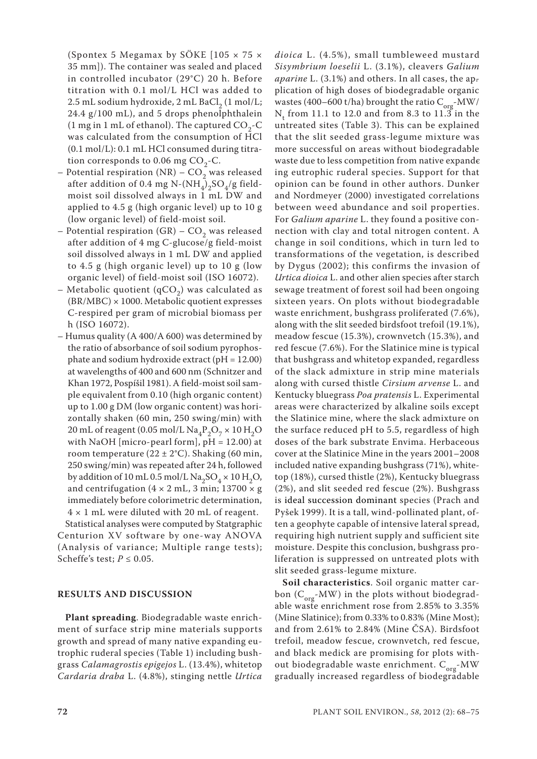(Spontex 5 Megamax by SÖKE  $105 \times 75 \times$ 35 mm]). The container was sealed and placed in controlled incubator (29°C) 20 h. Before titration with 0.1 mol/L HCl was added to 2.5 mL sodium hydroxide, 2 mL BaCl<sub>2</sub> (1 mol/L; 24.4 g/100 mL), and 5 drops phenolphthalein (1 mg in 1 mL of ethanol). The captured  $CO<sub>2</sub>-C$ was calculated from the consumption of HCl (0.1 mol/L): 0.1 mL HCl consumed during titration corresponds to 0.06 mg  $CO<sub>2</sub>-C$ .

- Potential respiration (NR)  $CO<sub>2</sub>$  was released after addition of 0.4 mg N-(NH<sub>4</sub>)<sub>2</sub>SO<sub>4</sub>/g fieldmoist soil dissolved always in 1 mL DW and applied to 4.5 g (high organic level) up to 10 g (low organic level) of field-moist soil.
- Potential respiration (GR)  $CO<sub>2</sub>$  was released after addition of 4 mg C-glucose/g field-moist soil dissolved always in 1 mL DW and applied to 4.5 g (high organic level) up to 10 g (low organic level) of field-moist soil (ISO 16072).
- Metabolic quotient (qCO<sub>2</sub>) was calculated as (BR/MBC) × 1000. Metabolic quotient expresses C-respired per gram of microbial biomass per h (ISO 16072).
- Humus quality (A 400/A 600) was determined by the ratio of absorbance of soil sodium pyrophosphate and sodium hydroxide extract (pH = 12.00) at wavelengths of 400 and 600 nm (Schnitzer and Khan 1972, Pospíšil 1981). A field-moist soil sample equivalent from 0.10 (high organic content) up to 1.00 g DM (low organic content) was horizontally shaken (60 min, 250 swing/min) with 20 mL of reagent (0.05 mol/L  $\text{Na}_4\text{P}_2\text{O}_7 \times 10 \text{H}_2\text{O}$ with NaOH [micro-pearl form],  $pH = 12.00$ ) at room temperature  $(22 \pm 2^{\circ}C)$ . Shaking (60 min, 250 swing/min) was repeated after 24 h, followed by addition of 10 mL 0.5 mol/L  $\text{Na}_2\text{SO}_4 \times 10 \text{ H}_2\text{O}$ , and centrifugation  $(4 \times 2 \text{ mL}, 3 \text{ min}; 13700 \times \text{g})$ immediately before colorimetric determination,  $4 \times 1$  mL were diluted with 20 mL of reagent.

Statistical analyses were computed by Statgraphic Centurion XV software by one-way ANOVA (Analysis of variance; Multiple range tests); Scheffe's test;  $P \le 0.05$ .

## **RESULTS AND DISCUSSION**

**Plant spreading**. Biodegradable waste enrichment of surface strip mine materials supports growth and spread of many native expanding eutrophic ruderal species (Table 1) including bushgrass *Calamagrostis epigejos* L. (13.4%), whitetop *Cardaria draba* L. (4.8%), stinging nettle *Urtica*  *dioica* L. (4.5%), small tumbleweed mustard *Sisymbrium loeselii* L. (3.1%), cleavers *Galium aparine* L. (3.1%) and others. In all cases, the application of high doses of biodegradable organic wastes (400–600 t/ha) brought the ratio  $C_{\text{org}}$ -MW/  $N_t$  from 11.1 to 12.0 and from 8.3 to 11.3 in the untreated sites (Table 3). This can be explained that the slit seeded grass-legume mixture was more successful on areas without biodegradable waste due to less competition from native expandcing eutrophic ruderal species. Support for that opinion can be found in other authors. Dunker and Nordmeyer (2000) investigated correlations between weed abundance and soil properties. For *Galium aparine* L. they found a positive connection with clay and total nitrogen content. A change in soil conditions, which in turn led to transformations of the vegetation, is described by Dygus (2002); this confirms the invasion of *Urtica dioica* L. and other alien species after starch sewage treatment of forest soil had been ongoing sixteen years. On plots without biodegradable waste enrichment, bushgrass proliferated (7.6%), along with the slit seeded birdsfoot trefoil (19.1%), meadow fescue (15.3%), crownvetch (15.3%), and red fescue (7.6%). For the Slatinice mine is typical that bushgrass and whitetop expanded, regardless of the slack admixture in strip mine materials along with cursed thistle *Cirsium arvense* L. and Kentucky bluegrass *Poa pratensis* L. Experimental areas were characterized by alkaline soils except the Slatinice mine, where the slack admixture on the surface reduced pH to 5.5, regardless of high doses of the bark substrate Envima. Herbaceous cover at the Slatinice Mine in the years 2001–2008 included native expanding bushgrass (71%), whitetop (18%), cursed thistle (2%), Kentucky bluegrass (2%), and slit seeded red fescue (2%). Bushgrass is ideal succession dominant species (Prach and Pyšek 1999). It is a tall, wind-pollinated plant, often a geophyte capable of intensive lateral spread, requiring high nutrient supply and sufficient site moisture. Despite this conclusion, bushgrass proliferation is suppressed on untreated plots with slit seeded grass-legume mixture.

**Soil characteristics**. Soil organic matter carbon ( $C_{\text{org}}$ -MW) in the plots without biodegradable waste enrichment rose from 2.85% to 3.35% (Mine Slatinice); from 0.33% to 0.83% (Mine Most); and from 2.61% to 2.84% (Mine ČSA). Birdsfoot trefoil, meadow fescue, crownvetch, red fescue, and black medick are promising for plots without biodegradable waste enrichment.  $C_{org}$ -MW gradually increased regardless of biodegradable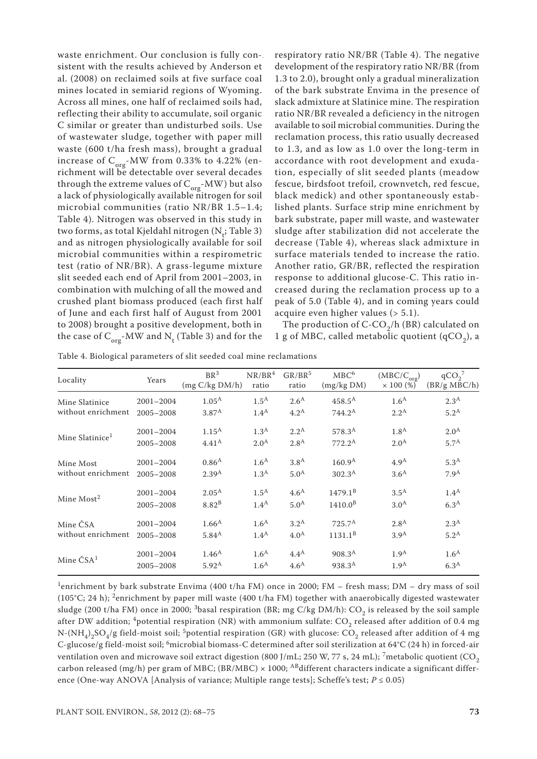waste enrichment. Our conclusion is fully consistent with the results achieved by Anderson et al. (2008) on reclaimed soils at five surface coal mines located in semiarid regions of Wyoming. Across all mines, one half of reclaimed soils had, reflecting their ability to accumulate, soil organic C similar or greater than undisturbed soils. Use of wastewater sludge, together with paper mill waste (600 t/ha fresh mass), brought a gradual increase of  $C_{org}$ -MW from 0.33% to 4.22% (enrichment will be detectable over several decades through the extreme values of  $C_{\text{org}}$ -MW) but also a lack of physiologically available nitrogen for soil microbial communities (ratio NR/BR 1.5–1.4; Table 4). Nitrogen was observed in this study in two forms, as total Kjeldahl nitrogen  $(N_t;$  Table 3) and as nitrogen physiologically available for soil microbial communities within a respirometric test (ratio of NR/BR). A grass-legume mixture slit seeded each end of April from 2001–2003, in combination with mulching of all the mowed and crushed plant biomass produced (each first half of June and each first half of August from 2001 to 2008) brought a positive development, both in the case of  $\text{C}_{\text{org}}$ -MW and  $\text{N}_{\text{t}}$  (Table 3) and for the

respiratory ratio NR/BR (Table 4). The negative development of the respiratory ratio NR/BR (from 1.3 to 2.0), brought only a gradual mineralization of the bark substrate Envima in the presence of slack admixture at Slatinice mine. The respiration ratio NR/BR revealed a deficiency in the nitrogen available to soil microbial communities. During the reclamation process, this ratio usually decreased to 1.3, and as low as 1.0 over the long-term in accordance with root development and exudation, especially of slit seeded plants (meadow fescue, birdsfoot trefoil, crownvetch, red fescue, black medick) and other spontaneously established plants. Surface strip mine enrichment by bark substrate, paper mill waste, and wastewater sludge after stabilization did not accelerate the decrease (Table 4), whereas slack admixture in surface materials tended to increase the ratio. Another ratio, GR/BR, reflected the respiration response to additional glucose-C. This ratio increased during the reclamation process up to a peak of 5.0 (Table 4), and in coming years could acquire even higher values (> 5.1).

The production of  $C$ -CO<sub>2</sub>/h (BR) calculated on 1 g of MBC, called metabolic quotient  $(qCO<sub>2</sub>)$ , a

| Locality                        | Years         | BR <sup>3</sup><br>(mg C/kg DM/h) | NR/BR <sup>4</sup><br>ratio | GR/BR <sup>5</sup><br>ratio | MBC <sup>6</sup><br>(mg/kg DM) | $(MBC/C_{\text{org}})$<br>$\times 100\,(%)$ | qCO <sub>2</sub> <sup>7</sup><br>(BR/g MBC/h) |
|---------------------------------|---------------|-----------------------------------|-----------------------------|-----------------------------|--------------------------------|---------------------------------------------|-----------------------------------------------|
| Mine Slatinice                  | $2001 - 2004$ | $1.05^{A}$                        | $1.5^{\text{A}}$            | 2.6 <sup>A</sup>            | $458.5^{\text{A}}$             | 1.6 <sup>A</sup>                            | 2.3 <sup>A</sup>                              |
| without enrichment              | 2005-2008     | $3.87^{A}$                        | 1.4 <sup>A</sup>            | 4.2 <sup>A</sup>            | $744.2^{\text{A}}$             | 2.2 <sup>A</sup>                            | $5.2^{\text{A}}$                              |
| Mine Slatinice <sup>1</sup>     | $2001 - 2004$ | $1.15^{\text{A}}$                 | 1.3 <sup>A</sup>            | 2.2 <sup>A</sup>            | $578.3^{A}$                    | 1.8 <sup>A</sup>                            | 2.0 <sup>A</sup>                              |
|                                 | $2005 - 2008$ | 4.41 <sup>A</sup>                 | 2.0 <sup>A</sup>            | 2.8 <sup>A</sup>            | $772.2^{\rm A}$                | 2.0 <sup>A</sup>                            | 5.7 <sup>A</sup>                              |
| Mine Most<br>without enrichment | $2001 - 2004$ | $0.86^{A}$                        | 1.6 <sup>A</sup>            | 3.8 <sup>A</sup>            | 160.9 <sup>A</sup>             | 4.9 <sup>A</sup>                            | 5.3 <sup>A</sup>                              |
|                                 | $2005 - 2008$ | 2.39 <sup>A</sup>                 | 1.3 <sup>A</sup>            | 5.0 <sup>A</sup>            | 302.3 <sup>A</sup>             | 3.6 <sup>A</sup>                            | 7.9 <sup>A</sup>                              |
| Mine $Most2$                    | $2001 - 2004$ | $2.05^{A}$                        | $1.5^{\rm A}$               | 4.6 <sup>A</sup>            | $1479.1^B$                     | 3.5 <sup>A</sup>                            | 1.4 <sup>A</sup>                              |
|                                 | $2005 - 2008$ | 8.82 <sup>B</sup>                 | 1.4 <sup>A</sup>            | 5.0 <sup>A</sup>            | 1410.0 <sup>B</sup>            | 3.0 <sup>A</sup>                            | 6.3 <sup>A</sup>                              |
| Mine ČSA<br>without enrichment  | $2001 - 2004$ | 1.66 <sup>A</sup>                 | 1.6 <sup>A</sup>            | 3.2 <sup>A</sup>            | $725.7^{\rm A}$                | 2.8 <sup>A</sup>                            | 2.3 <sup>A</sup>                              |
|                                 | 2005-2008     | $5.84^{A}$                        | $1.4^{\rm A}$               | 4.0 <sup>A</sup>            | $1131.1^B$                     | 3.9 <sup>A</sup>                            | $5.2^{\text{A}}$                              |
| Mine $\check{C}SA^1$            | $2001 - 2004$ | 1.46 <sup>A</sup>                 | 1.6 <sup>A</sup>            | 4.4 <sup>A</sup>            | 908.3 <sup>A</sup>             | 1.9 <sup>A</sup>                            | 1.6 <sup>A</sup>                              |
|                                 | $2005 - 2008$ | $5.92^{\rm A}$                    | 1.6 <sup>A</sup>            | 4.6 <sup>A</sup>            | 938.3 <sup>A</sup>             | 1.9 <sup>A</sup>                            | 6.3 <sup>A</sup>                              |

Table 4. Biological parameters of slit seeded coal mine reclamations

<sup>1</sup>enrichment by bark substrate Envima (400 t/ha FM) once in 2000; FM – fresh mass; DM – dry mass of soil (105°C; 24 h); 2enrichment by paper mill waste (400 t/ha FM) together with anaerobically digested wastewater sludge (200 t/ha FM) once in 2000; <sup>3</sup>basal respiration (BR; mg C/kg DM/h): CO<sub>2</sub> is released by the soil sample after DW addition; <sup>4</sup>potential respiration (NR) with ammonium sulfate:  $CO_2$  released after addition of 0.4 mg N-(NH<sub>4</sub>)<sub>2</sub>SO<sub>4</sub>/g field-moist soil; <sup>5</sup>potential respiration (GR) with glucose: CO<sub>2</sub> released after addition of 4 mg C-glucose/g field-moist soil; <sup>6</sup>microbial biomass-C determined after soil sterilization at 64°C (24 h) in forced-air ventilation oven and microwave soil extract digestion (800 J/mL; 250 W, 77 s, 24 mL); 7 metabolic quotient (CO<sub>2</sub> carbon released (mg/h) per gram of MBC; (BR/MBC)  $\times$  1000; <sup>AB</sup>different characters indicate a significant difference (One-way ANOVA [Analysis of variance; Multiple range tests]; Scheffe's test;  $P \le 0.05$ )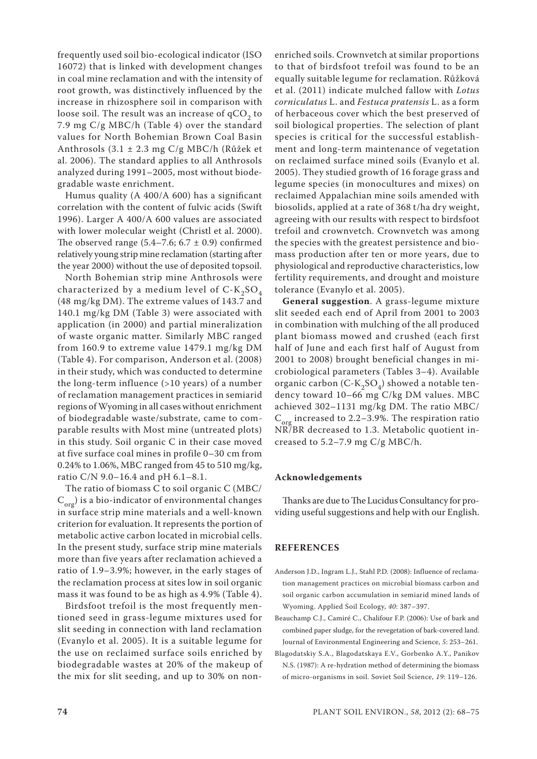frequently used soil bio-ecological indicator (ISO 16072) that is linked with development changes in coal mine reclamation and with the intensity of root growth, was distinctively influenced by the increase in rhizosphere soil in comparison with loose soil. The result was an increase of  $qCO<sub>2</sub>$  to 7.9 mg C/g MBC/h (Table 4) over the standard values for North Bohemian Brown Coal Basin Anthrosols (3.1 ± 2.3 mg C/g MBC/h (Růžek et al. 2006). The standard applies to all Anthrosols analyzed during 1991–2005, most without biodegradable waste enrichment.

Humus quality (A 400/A 600) has a significant correlation with the content of fulvic acids (Swift 1996). Larger A 400/A 600 values are associated with lower molecular weight (Christl et al. 2000). The observed range  $(5.4–7.6; 6.7 \pm 0.9)$  confirmed relatively young strip mine reclamation (starting after the year 2000) without the use of deposited topsoil.

North Bohemian strip mine Anthrosols were characterized by a medium level of  $C-K_2SO_4$ (48 mg/kg DM). The extreme values of 143.7 and 140.1 mg/kg DM (Table 3) were associated with application (in 2000) and partial mineralization of waste organic matter. Similarly MBC ranged from 160.9 to extreme value 1479.1 mg/kg DM (Table 4). For comparison, Anderson et al. (2008) in their study, which was conducted to determine the long-term influence (>10 years) of a number of reclamation management practices in semiarid regions of Wyoming in all cases without enrichment of biodegradable waste/substrate, came to comparable results with Most mine (untreated plots) in this study. Soil organic C in their case moved at five surface coal mines in profile 0–30 cm from 0.24% to 1.06%, MBC ranged from 45 to 510 mg/kg, ratio C/N 9.0–16.4 and pH 6.1–8.1.

The ratio of biomass C to soil organic C (MBC/  $(C_{\text{org}})$  is a bio-indicator of environmental changes in surface strip mine materials and a well-known criterion for evaluation. It represents the portion of metabolic active carbon located in microbial cells. In the present study, surface strip mine materials more than five years after reclamation achieved a ratio of 1.9–3.9%; however, in the early stages of the reclamation process at sites low in soil organic mass it was found to be as high as 4.9% (Table 4).

Birdsfoot trefoil is the most frequently mentioned seed in grass-legume mixtures used for slit seeding in connection with land reclamation (Evanylo et al. 2005). It is a suitable legume for the use on reclaimed surface soils enriched by biodegradable wastes at 20% of the makeup of the mix for slit seeding, and up to 30% on nonenriched soils. Crownvetch at similar proportions to that of birdsfoot trefoil was found to be an equally suitable legume for reclamation. Růžková et al. (2011) indicate mulched fallow with *Lotus corniculatus* L. and *Festuca pratensis* L. as a form of herbaceous cover which the best preserved of soil biological properties. The selection of plant species is critical for the successful establishment and long-term maintenance of vegetation on reclaimed surface mined soils (Evanylo et al. 2005). They studied growth of 16 forage grass and legume species (in monocultures and mixes) on reclaimed Appalachian mine soils amended with biosolids, applied at a rate of 368 t/ha dry weight, agreeing with our results with respect to birdsfoot trefoil and crownvetch. Crownvetch was among the species with the greatest persistence and biomass production after ten or more years, due to physiological and reproductive characteristics, low fertility requirements, and drought and moisture tolerance (Evanylo et al. 2005).

**General suggestion**. A grass-legume mixture slit seeded each end of April from 2001 to 2003 in combination with mulching of the all produced plant biomass mowed and crushed (each first half of June and each first half of August from 2001 to 2008) brought beneficial changes in microbiological parameters (Tables 3–4). Available organic carbon (C- $K_2SO_4$ ) showed a notable tendency toward 10–66 mg C/kg DM values. MBC achieved 302–1131 mg/kg DM. The ratio MBC/  $C_{\text{org}}$  increased to 2.2–3.9%. The respiration ratio NR/BR decreased to 1.3. Metabolic quotient increased to 5.2–7.9 mg C/g MBC/h.

#### **Acknowledgements**

Thanks are due to The Lucidus Consultancy for providing useful suggestions and help with our English.

#### **REFERENCES**

- Anderson J.D., Ingram L.J., Stahl P.D. (2008): Influence of reclamation management practices on microbial biomass carbon and soil organic carbon accumulation in semiarid mined lands of Wyoming. Applied Soil Ecology, *40*: 387–397.
- Beauchamp C.J., Camiré C., Chalifour F.P. (2006): Use of bark and combined paper sludge, for the revegetation of bark-covered land. Journal of Environmental Engineering and Science, *5*: 253–261.
- Blagodatskiy S.A., Blagodatskaya E.V., Gorbenko A.Y., Panikov N.S. (1987): A re-hydration method of determining the biomass of micro-organisms in soil. Soviet Soil Science, *19*: 119–126.